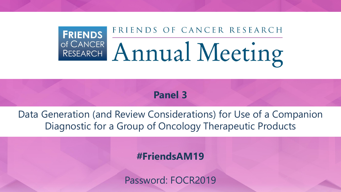## FRIENDS OF CANCER RESEARCH **FRIENDS** OF CANCER Annual Meeting

**Panel 3**

Data Generation (and Review Considerations) for Use of a Companion Diagnostic for a Group of Oncology Therapeutic Products

### **#FriendsAM19**

Password: FOCR2019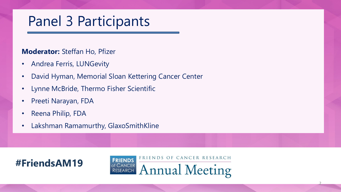# Panel 3 Participants

### **Moderator:** Steffan Ho, Pfizer

- Andrea Ferris, LUNGevity
- David Hyman, Memorial Sloan Kettering Cancer Center
- Lynne McBride, Thermo Fisher Scientific
- Preeti Narayan, FDA
- Reena Philip, FDA
- Lakshman Ramamurthy, GlaxoSmithKline



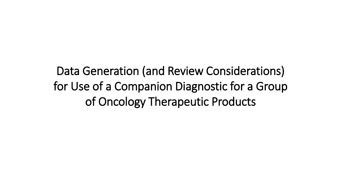Data Generation (and Review Considerations) for Use of a Companion Diagnostic for a Group of Oncology Therapeutic Products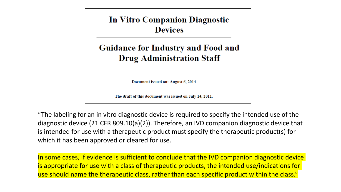**In Vitro Companion Diagnostic Devices** 

### **Guidance for Industry and Food and Drug Administration Staff**

Document issued on: August 6, 2014

The draft of this document was issued on July 14, 2011.

"The labeling for an in vitro diagnostic device is required to specify the intended use of the diagnostic device (21 CFR 809.10(a)(2)). Therefore, an IVD companion diagnostic device that is intended for use with a therapeutic product must specify the therapeutic product(s) for which it has been approved or cleared for use.

In some cases, if evidence is sufficient to conclude that the IVD companion diagnostic device is appropriate for use with a class of therapeutic products, the intended use/indications for use should name the therapeutic class, rather than each specific product within the class."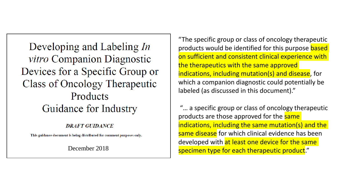Developing and Labeling In *vitro* Companion Diagnostic Devices for a Specific Group or Class of Oncology Therapeutic Products Guidance for Industry

#### **DRAFT GUIDANCE**

This guidance document is being distributed for comment purposes only.

"The specific group or class of oncology therapeutic products would be identified for this purpose based on sufficient and consistent clinical experience with the therapeutics with the same approved indications, including mutation(s) and disease, for which a companion diagnostic could potentially be labeled (as discussed in this document)."

"… a specific group or class of oncology therapeutic products are those approved for the same indications, including the same mutation(s) and the same disease for which clinical evidence has been developed with at least one device for the same December 2018 **Specimen type for each therapeutic product**."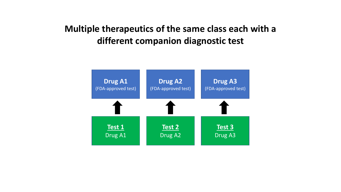## **Multiple therapeutics of the same class each with a different companion diagnostic test**

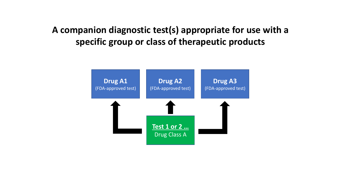## **A companion diagnostic test(s) appropriate for use with a specific group or class of therapeutic products**

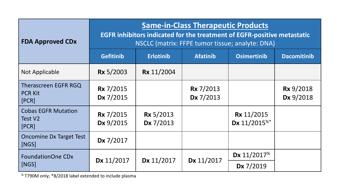| <b>FDA Approved CDx</b>                         | <b>Same-in-Class Therapeutic Products</b><br><b>EGFR inhibitors indicated for the treatment of EGFR-positive metastatic</b><br>NSCLC (matrix: FFPE tumor tissue; analyte: DNA) |                               |                               |                                               |                               |  |
|-------------------------------------------------|--------------------------------------------------------------------------------------------------------------------------------------------------------------------------------|-------------------------------|-------------------------------|-----------------------------------------------|-------------------------------|--|
|                                                 | <b>Gefitinib</b>                                                                                                                                                               | <b>Erlotinib</b>              | <b>Afatinib</b>               | <b>Osimertinib</b>                            | <b>Dacomitinib</b>            |  |
| Not Applicable                                  | <b>Rx</b> 5/2003                                                                                                                                                               | <b>Rx</b> 11/2004             |                               |                                               |                               |  |
| Therascreen EGFR RGQ<br><b>PCR Kit</b><br>[PCR] | <b>Rx</b> 7/2015<br>Dx 7/2015                                                                                                                                                  |                               | <b>Rx</b> 7/2013<br>Dx 7/2013 |                                               | <b>Rx</b> 9/2018<br>Dx 9/2018 |  |
| <b>Cobas EGFR Mutation</b><br>Test V2<br>[PCR]  | <b>Rx</b> 7/2015<br>Dx 9/2015                                                                                                                                                  | <b>Rx</b> 5/2013<br>Dx 7/2013 |                               | <b>Rx</b> 11/2015<br>Dx 11/2015 <sup>%*</sup> |                               |  |
| <b>Oncomine Dx Target Test</b><br>[NGS]         | Dx 7/2017                                                                                                                                                                      |                               |                               |                                               |                               |  |
| <b>FoundationOne CDx</b><br>[NGS]               | Dx 11/2017                                                                                                                                                                     | Dx 11/2017                    | Dx 11/2017                    | Dx 11/2017 <sup>%</sup>                       |                               |  |
|                                                 |                                                                                                                                                                                |                               |                               | Dx 7/2019                                     |                               |  |

% T790M only; \*8/2018 label extended to include plasma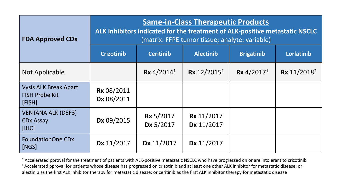| <b>FDA Approved CDx</b>                                         | <b>Same-in-Class Therapeutic Products</b><br>ALK inhibitors indicated for the treatment of ALK-positive metastatic NSCLC<br>(matrix: FFPE tumor tissue; analyte: variable) |                               |                                 |                          |                         |  |
|-----------------------------------------------------------------|----------------------------------------------------------------------------------------------------------------------------------------------------------------------------|-------------------------------|---------------------------------|--------------------------|-------------------------|--|
|                                                                 | <b>Crizotinib</b>                                                                                                                                                          | <b>Ceritinib</b>              | <b>Alectinib</b>                | <b>Brigatinib</b>        | Lorlatinib              |  |
| Not Applicable                                                  |                                                                                                                                                                            | $Rx$ 4/2014 <sup>1</sup>      | Rx $12/2015^1$                  | $Rx$ 4/2017 <sup>1</sup> | Rx 11/2018 <sup>2</sup> |  |
| <b>Vysis ALK Break Apart</b><br><b>FISH Probe Kit</b><br>[FISH] | <b>Rx 08/2011</b><br>Dx 08/2011                                                                                                                                            |                               |                                 |                          |                         |  |
| <b>VENTANA ALK (D5F3)</b><br><b>CDx Assay</b><br>[IHC]          | Dx 09/2015                                                                                                                                                                 | <b>Rx</b> 5/2017<br>Dx 5/2017 | <b>Rx</b> 11/2017<br>Dx 11/2017 |                          |                         |  |
| <b>FoundationOne CDx</b><br>[NGS]                               | Dx 11/2017                                                                                                                                                                 | Dx 11/2017                    | Dx 11/2017                      |                          |                         |  |

 $1$  Accelerated pproval for the treatment of patients with ALK-positive metastatic NSCLC who have progressed on or are intolerant to crizotinib <sup>2</sup> Accelerated pproval for patients whose disease has progressed on crizotinib and at least one other ALK inhibitor for metastatic disease; or alectinib as the first ALK inhibitor therapy for metastatic disease; or ceritinib as the first ALK inhibitor therapy for metastatic disease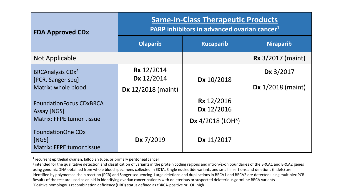| <b>FDA Approved CDx</b>                                               | <b>Same-in-Class Therapeutic Products</b><br>PARP inhibitors in advanced ovarian cancer <sup>1</sup> |                                 |                              |  |  |
|-----------------------------------------------------------------------|------------------------------------------------------------------------------------------------------|---------------------------------|------------------------------|--|--|
|                                                                       | <b>Olaparib</b>                                                                                      | <b>Rucaparib</b>                | <b>Niraparib</b>             |  |  |
| Not Applicable                                                        |                                                                                                      |                                 | <b>Rx</b> 3/2017 (maint)     |  |  |
| <b>BRCAnalysis CDx<sup>2</sup></b><br>[PCR, Sanger seq]               | <b>Rx</b> 12/2014<br>Dx 12/2014                                                                      | Dx 10/2018                      | Dx 3/2017                    |  |  |
| Matrix: whole blood                                                   | $\mathsf{Dx}$ 12/2018 (maint)                                                                        |                                 | $\mathbf{Dx}$ 1/2018 (maint) |  |  |
| <b>FoundationFocus CDxBRCA</b><br>Assay [NGS]                         |                                                                                                      | <b>Rx</b> 12/2016<br>Dx 12/2016 |                              |  |  |
| <b>Matrix: FFPE tumor tissue</b>                                      |                                                                                                      | Dx 4/2018 (LOH <sup>3</sup> )   |                              |  |  |
| <b>FoundationOne CDx</b><br>[NGS]<br><b>Matrix: FFPE tumor tissue</b> | Dx 7/2019                                                                                            | Dx 11/2017                      |                              |  |  |

 $1$  recurrent epithelial ovarian, fallopian tube, or primary peritoneal cancer

<sup>2</sup> intended for the qualitative detection and classification of variants in the protein coding regions and intron/exon boundaries of the BRCA1 and BRCA2 genes using genomic DNA obtained from whole blood specimens collected in EDTA. Single nucleotide variants and small insertions and deletions (indels) are identified by polymerase chain reaction (PCR) and Sanger sequencing. Large deletions and duplications in BRCA1 and BRCA2 are detected using multiplex PCR. Results of the test are used as an aid in identifying ovarian cancer patients with deleterious or suspected deleterious germline BRCA variants <sup>3</sup>Positive homologous recombination deficiency (HRD) status defined as tBRCA-positive or LOH high